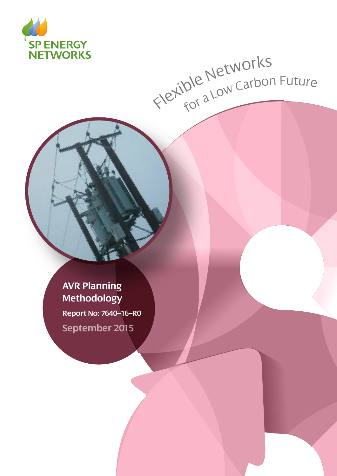

# Flexible Networks<br>Flexible Networks

**AVR Planning Methodology Report No: 7640–16–R0**

**September 2015**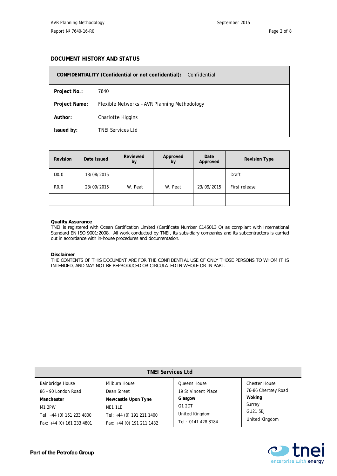П

#### **DOCUMENT HISTORY AND STATUS**

| CONFIDENTIALITY (Confidential or not confidential):<br>Confidential |                                              |  |  |  |
|---------------------------------------------------------------------|----------------------------------------------|--|--|--|
| Project No.:                                                        | 7640                                         |  |  |  |
| Project Name:                                                       | Flexible Networks - AVR Planning Methodology |  |  |  |
| Author:                                                             | Charlotte Higgins                            |  |  |  |
| Issued by:                                                          | <b>TNEI Services Ltd</b>                     |  |  |  |

| <b>Revision</b>   | Date issued | Reviewed<br>by | Approved<br>by | Date<br>Approved | <b>Revision Type</b> |
|-------------------|-------------|----------------|----------------|------------------|----------------------|
| D <sub>0</sub> .0 | 13/08/2015  |                |                |                  | Draft                |
| R <sub>0</sub> .0 | 23/09/2015  | W. Peat        | W. Peat        | 23/09/2015       | First release        |
|                   |             |                |                |                  |                      |

#### **Quality Assurance**

TNEI is registered with Ocean Certification Limited (Certificate Number C145013 Q) as compliant with International Standard EN ISO 9001:2008. All work conducted by TNEI, its subsidiary companies and its subcontractors is carried out in accordance with in-house procedures and documentation.

#### **Disclaimer**

THE CONTENTS OF THIS DOCUMENT ARE FOR THE CONFIDENTIAL USE OF ONLY THOSE PERSONS TO WHOM IT IS INTENDED, AND MAY NOT BE REPRODUCED OR CIRCULATED IN WHOLE OR IN PART.

| <b>TNEI Services Ltd</b>                                                       |                                                                                          |                                                           |                                                       |  |  |  |  |
|--------------------------------------------------------------------------------|------------------------------------------------------------------------------------------|-----------------------------------------------------------|-------------------------------------------------------|--|--|--|--|
| <b>Bainbridge House</b><br>86 - 90 London Road                                 | Milburn House<br>Dean Street                                                             | <b>Oueens House</b><br>19 St Vincent Place                | <b>Chester House</b><br>76-86 Chertsey Road<br>Woking |  |  |  |  |
| Manchester<br>M1 2PW<br>Tel: +44 (0) 161 233 4800<br>Fax: +44 (0) 161 233 4801 | Newcastle Upon Tyne<br>NE1 1LE<br>Tel: +44 (0) 191 211 1400<br>Fax: +44 (0) 191 211 1432 | Glasgow<br>G1 2DT<br>United Kingdom<br>Tel: 0141 428 3184 | Surrey<br>GU21 5BJ<br>United Kingdom                  |  |  |  |  |

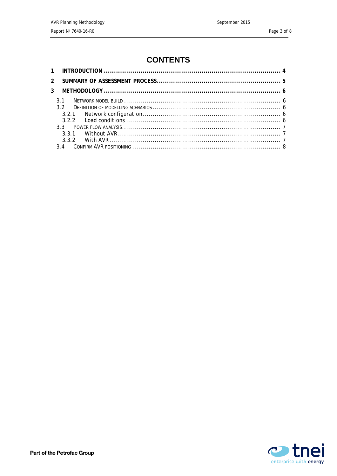# **CONTENTS**

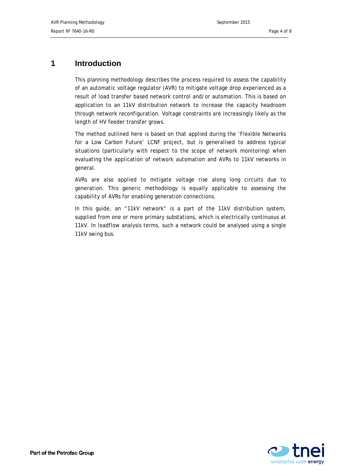## <span id="page-3-0"></span>**1 Introduction**

This planning methodology describes the process required to assess the capability of an automatic voltage regulator (AVR) to mitigate voltage drop experienced as a result of load transfer based network control and/or automation. This is based on application to an 11kV distribution network to increase the capacity headroom through network reconfiguration. Voltage constraints are increasingly likely as the length of HV feeder transfer grows.

The method outlined here is based on that applied during the 'Flexible Networks for a Low Carbon Future' LCNF project, but is generalised to address typical situations (particularly with respect to the scope of network monitoring) when evaluating the application of network automation and AVRs to 11kV networks in general.

AVRs are also applied to mitigate voltage rise along long circuits due to generation. This generic methodology is equally applicable to assessing the capability of AVRs for enabling generation connections.

In this guide, an "11kV network" is a part of the 11kV distribution system, supplied from one or more primary substations, which is electrically continuous at 11kV. In loadflow analysis terms, such a network could be analysed using a single 11kV swing bus.

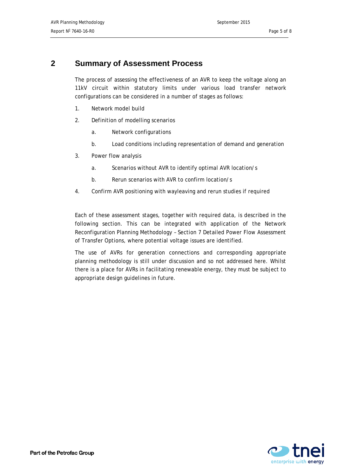## <span id="page-4-0"></span>**2 Summary of Assessment Process**

The process of assessing the effectiveness of an AVR to keep the voltage along an 11kV circuit within statutory limits under various load transfer network configurations can be considered in a number of stages as follows:

- 1. Network model build
- 2. Definition of modelling scenarios
	- a. Network configurations
	- b. Load conditions including representation of demand and generation
- 3. Power flow analysis
	- a. Scenarios without AVR to identify optimal AVR location/s
	- b. Rerun scenarios with AVR to confirm location/s
- 4. Confirm AVR positioning with wayleaving and rerun studies if required

Each of these assessment stages, together with required data, is described in the following section. This can be integrated with application of the Network Reconfiguration Planning Methodology – Section 7 Detailed Power Flow Assessment of Transfer Options, where potential voltage issues are identified.

The use of AVRs for generation connections and corresponding appropriate planning methodology is still under discussion and so not addressed here. Whilst there is a place for AVRs in facilitating renewable energy, they must be subject to appropriate design guidelines in future.

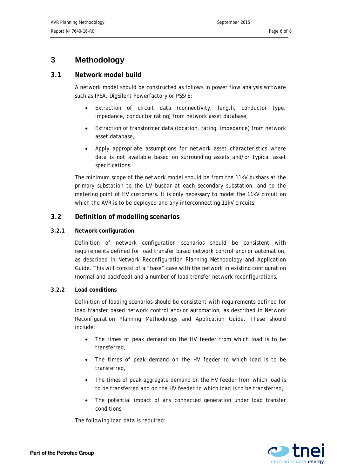## <span id="page-5-0"></span>**3 Methodology**

#### <span id="page-5-1"></span>**3.1 Network model build**

A network model should be constructed as follows in power flow analysis software such as IPSA, DigSilent Powerfactory or PSS/E:

- Extraction of circuit data (connectivity, length, conductor type, impedance, conductor rating) from network asset database,
- Extraction of transformer data (location, rating, impedance) from network asset database,
- Apply appropriate assumptions for network asset characteristics where data is not available based on surrounding assets and/or typical asset specifications.

The minimum scope of the network model should be from the 11kV busbars at the primary substation to the LV busbar at each secondary substation, and to the metering point of HV customers. It is only necessary to model the 11kV circuit on which the AVR is to be deployed and any interconnecting 11kV circuits.

### <span id="page-5-2"></span>**3.2 Definition of modelling scenarios**

#### <span id="page-5-3"></span>**3.2.1 Network configuration**

Definition of network configuration scenarios should be consistent with requirements defined for load transfer based network control and/or automation, as described in Network Reconfiguration Planning Methodology and Application Guide. This will consist of a "base" case with the network in existing configuration (normal and backfeed) and a number of load transfer network reconfigurations.

#### <span id="page-5-4"></span>**3.2.2 Load conditions**

Definition of loading scenarios should be consistent with requirements defined for load transfer based network control and/or automation, as described in Network Reconfiguration Planning Methodology and Application Guide. These should include;

- The times of peak demand on the HV feeder from which load is to be transferred,
- The times of peak demand on the HV feeder to which load is to be transferred,
- The times of peak aggregate demand on the HV feeder from which load is to be transferred and on the HV feeder to which load is to be transferred,
- The potential impact of any connected generation under load transfer conditions.

The following load data is required:

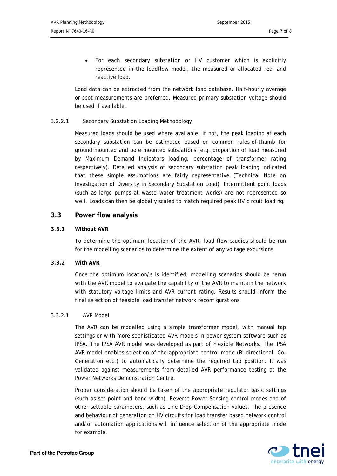• For each secondary substation or HV customer which is explicitly represented in the loadflow model, the measured or allocated real and reactive load.

Load data can be extracted from the network load database. Half-hourly average or spot measurements are preferred. Measured primary substation voltage should be used if available.

#### 3.2.2.1 Secondary Substation Loading Methodology

Measured loads should be used where available. If not, the peak loading at each secondary substation can be estimated based on common rules-of-thumb for ground mounted and pole mounted substations (e.g. proportion of load measured by Maximum Demand Indicators loading, percentage of transformer rating respectively). Detailed analysis of secondary substation peak loading indicated that these simple assumptions are fairly representative (Technical Note on Investigation of Diversity in Secondary Substation Load). Intermittent point loads (such as large pumps at waste water treatment works) are not represented so well. Loads can then be globally scaled to match required peak HV circuit loading.

#### <span id="page-6-0"></span>**3.3 Power flow analysis**

#### <span id="page-6-1"></span>**3.3.1 Without AVR**

To determine the optimum location of the AVR, load flow studies should be run for the modelling scenarios to determine the extent of any voltage excursions.

#### <span id="page-6-2"></span>**3.3.2 With AVR**

Once the optimum location/s is identified, modelling scenarios should be rerun with the AVR model to evaluate the capability of the AVR to maintain the network with statutory voltage limits and AVR current rating. Results should inform the final selection of feasible load transfer network reconfigurations.

#### 3.3.2.1 AVR Model

The AVR can be modelled using a simple transformer model, with manual tap settings or with more sophisticated AVR models in power system software such as IPSA. The IPSA AVR model was developed as part of Flexible Networks. The IPSA AVR model enables selection of the appropriate control mode (Bi-directional, Co-Generation etc.) to automatically determine the required tap position. It was validated against measurements from detailed AVR performance testing at the Power Networks Demonstration Centre.

Proper consideration should be taken of the appropriate regulator basic settings (such as set point and band width), Reverse Power Sensing control modes and of other settable parameters, such as Line Drop Compensation values. The presence and behaviour of generation on HV circuits for load transfer based network control and/or automation applications will influence selection of the appropriate mode for example.